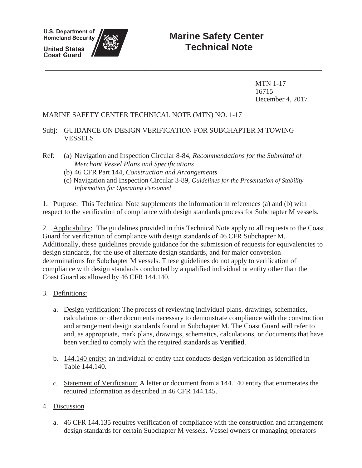**U.S. Department of Homeland Security** 

**United States Coast Guard** 



MTN 1-17 16715 December 4, 2017

### MARINE SAFETY CENTER TECHNICAL NOTE (MTN) NO. 1-17

### Subj: GUIDANCE ON DESIGN VERIFICATION FOR SUBCHAPTER M TOWING **VESSELS**

- Ref: (a) Navigation and Inspection Circular 8-84, *Recommendations for the Submittal of Merchant Vessel Plans and Specifications*
	- (b) 46 CFR Part 144, *Construction and Arrangements*
	- (c) Navigation and Inspection Circular 3-89, *Guidelines for the Presentation of Stability Information for Operating Personnel*

**\_\_\_\_\_\_\_\_\_\_\_\_\_\_\_\_\_\_\_\_\_\_\_\_\_\_\_\_\_\_\_\_\_\_\_\_\_\_\_\_\_\_\_\_\_\_\_\_\_\_\_\_\_\_\_\_\_\_\_\_\_\_\_\_\_\_\_\_\_\_\_\_\_\_\_\_\_\_**

1. Purpose: This Technical Note supplements the information in references (a) and (b) with respect to the verification of compliance with design standards process for Subchapter M vessels.

2. Applicability: The guidelines provided in this Technical Note apply to all requests to the Coast Guard for verification of compliance with design standards of 46 CFR Subchapter M. Additionally, these guidelines provide guidance for the submission of requests for equivalencies to design standards, for the use of alternate design standards, and for major conversion determinations for Subchapter M vessels. These guidelines do not apply to verification of compliance with design standards conducted by a qualified individual or entity other than the Coast Guard as allowed by 46 CFR 144.140.

- 3. Definitions:
	- a. Design verification: The process of reviewing individual plans, drawings, schematics, calculations or other documents necessary to demonstrate compliance with the construction and arrangement design standards found in Subchapter M. The Coast Guard will refer to and, as appropriate, mark plans, drawings, schematics, calculations, or documents that have been verified to comply with the required standards as **Verified**.
	- b. 144.140 entity: an individual or entity that conducts design verification as identified in Table 144.140.
	- c. Statement of Verification: A letter or document from a 144.140 entity that enumerates the required information as described in 46 CFR 144.145.
- 4. Discussion
	- a. 46 CFR 144.135 requires verification of compliance with the construction and arrangement design standards for certain Subchapter M vessels. Vessel owners or managing operators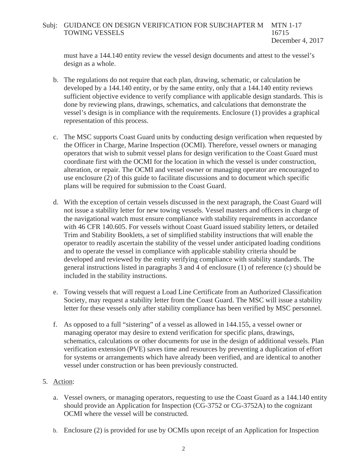### Subj: GUIDANCE ON DESIGN VERIFICATION FOR SUBCHAPTER M MTN 1-17<br>TOWING VESSELS 16715 TOWING VESSELS December 4, 2017

must have a 144.140 entity review the vessel design documents and attest to the vessel's design as a whole.

- b. The regulations do not require that each plan, drawing, schematic, or calculation be developed by a 144.140 entity, or by the same entity, only that a 144.140 entity reviews sufficient objective evidence to verify compliance with applicable design standards. This is done by reviewing plans, drawings, schematics, and calculations that demonstrate the vessel's design is in compliance with the requirements. Enclosure (1) provides a graphical representation of this process.
- c. The MSC supports Coast Guard units by conducting design verification when requested by the Officer in Charge, Marine Inspection (OCMI). Therefore, vessel owners or managing operators that wish to submit vessel plans for design verification to the Coast Guard must coordinate first with the OCMI for the location in which the vessel is under construction, alteration, or repair. The OCMI and vessel owner or managing operator are encouraged to use enclosure (2) of this guide to facilitate discussions and to document which specific plans will be required for submission to the Coast Guard.
- d. With the exception of certain vessels discussed in the next paragraph, the Coast Guard will not issue a stability letter for new towing vessels. Vessel masters and officers in charge of the navigational watch must ensure compliance with stability requirements in accordance with 46 CFR 140.605. For vessels without Coast Guard issued stability letters, or detailed Trim and Stability Booklets, a set of simplified stability instructions that will enable the operator to readily ascertain the stability of the vessel under anticipated loading conditions and to operate the vessel in compliance with applicable stability criteria should be developed and reviewed by the entity verifying compliance with stability standards. The general instructions listed in paragraphs 3 and 4 of enclosure (1) of reference (c) should be included in the stability instructions.
- e. Towing vessels that will request a Load Line Certificate from an Authorized Classification Society, may request a stability letter from the Coast Guard. The MSC will issue a stability letter for these vessels only after stability compliance has been verified by MSC personnel.
- f. As opposed to a full "sistering" of a vessel as allowed in 144.155, a vessel owner or managing operator may desire to extend verification for specific plans, drawings, schematics, calculations or other documents for use in the design of additional vessels. Plan verification extension (PVE) saves time and resources by preventing a duplication of effort for systems or arrangements which have already been verified, and are identical to another vessel under construction or has been previously constructed.

### 5. Action:

- a. Vessel owners, or managing operators, requesting to use the Coast Guard as a 144.140 entity should provide an Application for Inspection (CG-3752 or CG-3752A) to the cognizant OCMI where the vessel will be constructed.
- b. Enclosure (2) is provided for use by OCMIs upon receipt of an Application for Inspection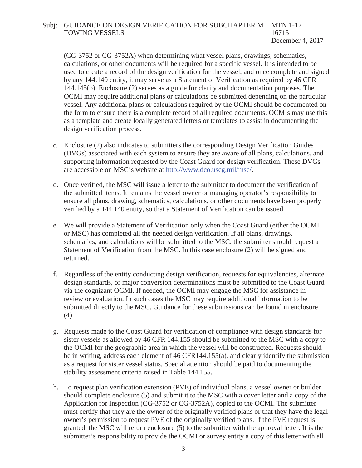#### Subj: GUIDANCE ON DESIGN VERIFICATION FOR SUBCHAPTER M MTN 1-17<br>TOWING VESSELS 16715 TOWING VESSELS December 4, 2017

(CG-3752 or CG-3752A) when determining what vessel plans, drawings, schematics, calculations, or other documents will be required for a specific vessel. It is intended to be used to create a record of the design verification for the vessel, and once complete and signed by any 144.140 entity, it may serve as a Statement of Verification as required by 46 CFR 144.145(b). Enclosure (2) serves as a guide for clarity and documentation purposes. The OCMI may require additional plans or calculations be submitted depending on the particular vessel. Any additional plans or calculations required by the OCMI should be documented on the form to ensure there is a complete record of all required documents. OCMIs may use this as a template and create locally generated letters or templates to assist in documenting the design verification process.

- c. Enclosure (2) also indicates to submitters the corresponding Design Verification Guides (DVGs) associated with each system to ensure they are aware of all plans, calculations, and supporting information requested by the Coast Guard for design verification. These DVGs are accessible on MSC's website at http://www.dco.uscg.mil/msc/.
- d. Once verified, the MSC will issue a letter to the submitter to document the verification of the submitted items. It remains the vessel owner or managing operator's responsibility to ensure all plans, drawing, schematics, calculations, or other documents have been properly verified by a 144.140 entity, so that a Statement of Verification can be issued.
- e. We will provide a Statement of Verification only when the Coast Guard (either the OCMI or MSC) has completed all the needed design verification. If all plans, drawings, schematics, and calculations will be submitted to the MSC, the submitter should request a Statement of Verification from the MSC. In this case enclosure (2) will be signed and returned.
- f. Regardless of the entity conducting design verification, requests for equivalencies, alternate design standards, or major conversion determinations must be submitted to the Coast Guard via the cognizant OCMI. If needed, the OCMI may engage the MSC for assistance in review or evaluation. In such cases the MSC may require additional information to be submitted directly to the MSC. Guidance for these submissions can be found in enclosure (4).
- g. Requests made to the Coast Guard for verification of compliance with design standards for sister vessels as allowed by 46 CFR 144.155 should be submitted to the MSC with a copy to the OCMI for the geographic area in which the vessel will be constructed. Requests should be in writing, address each element of 46 CFR144.155(a), and clearly identify the submission as a request for sister vessel status. Special attention should be paid to documenting the stability assessment criteria raised in Table 144.155.
- h. To request plan verification extension (PVE) of individual plans, a vessel owner or builder should complete enclosure (5) and submit it to the MSC with a cover letter and a copy of the Application for Inspection (CG-3752 or CG-3752A), copied to the OCMI. The submitter must certify that they are the owner of the originally verified plans or that they have the legal owner's permission to request PVE of the originally verified plans. If the PVE request is granted, the MSC will return enclosure (5) to the submitter with the approval letter. It is the submitter's responsibility to provide the OCMI or survey entity a copy of this letter with all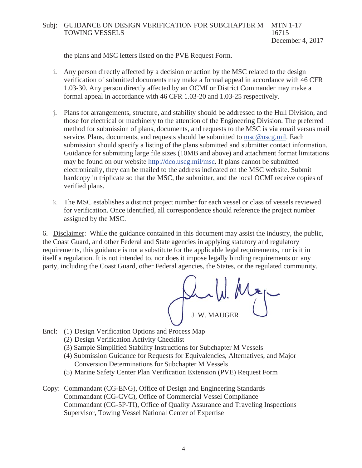### Subj: GUIDANCE ON DESIGN VERIFICATION FOR SUBCHAPTER M MTN 1-17<br>16715 TOWING VESSELS

December 4, 2017

the plans and MSC letters listed on the PVE Request Form.

- i. Any person directly affected by a decision or action by the MSC related to the design verification of submitted documents may make a formal appeal in accordance with 46 CFR 1.03-30. Any person directly affected by an OCMI or District Commander may make a formal appeal in accordance with 46 CFR 1.03-20 and 1.03-25 respectively.
- j. Plans for arrangements, structure, and stability should be addressed to the Hull Division, and those for electrical or machinery to the attention of the Engineering Division. The preferred method for submission of plans, documents, and requests to the MSC is via email versus mail service. Plans, documents, and requests should be submitted to msc@uscg.mil. Each submission should specify a listing of the plans submitted and submitter contact information. Guidance for submitting large file sizes (10MB and above) and attachment format limitations may be found on our website http://dco.uscg.mil/msc. If plans cannot be submitted electronically, they can be mailed to the address indicated on the MSC website. Submit hardcopy in triplicate so that the MSC, the submitter, and the local OCMI receive copies of verified plans.
- k. The MSC establishes a distinct project number for each vessel or class of vessels reviewed for verification. Once identified, all correspondence should reference the project number assigned by the MSC.

6. Disclaimer: While the guidance contained in this document may assist the industry, the public, the Coast Guard, and other Federal and State agencies in applying statutory and regulatory requirements, this guidance is not a substitute for the applicable legal requirements, nor is it in itself a regulation. It is not intended to, nor does it impose legally binding requirements on any party, including the Coast Guard, other Federal agencies, the States, or the regulated community.

 $\sim$  W. Map J. W. MAUGER MAUGER

- Encl: (1) Design Verification Options and Process Map
	- (2) Design Verification Activity Checklist
	- (3) Sample Simplified Stability Instructions for Subchapter M Vessels
	- (4) Submission Guidance for Requests for Equivalencies, Alternatives, and Major Conversion Determinations for Subchapter M Vessels
	- (5) Marine Safety Center Plan Verification Extension (PVE) Request Form
- Copy: Commandant (CG-ENG), Office of Design and Engineering Standards Commandant (CG-CVC), Office of Commercial Vessel Compliance Commandant (CG-5P-TI), Office of Quality Assurance and Traveling Inspections Supervisor, Towing Vessel National Center of Expertise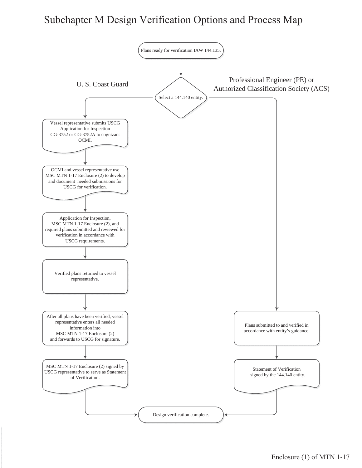# Subchapter M Design Verification Options and Process Map

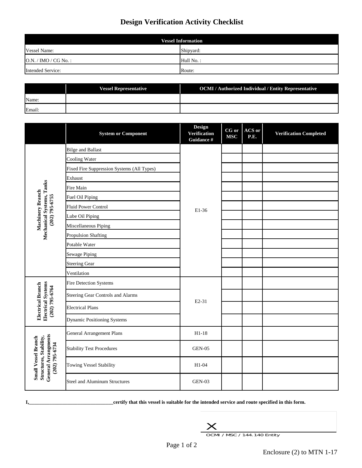# **Design Verification Activity Checklist**

| <b>Vessel Information</b> |           |  |
|---------------------------|-----------|--|
| <b>Vessel Name:</b>       | Shipyard: |  |
| $O.N. / IMO / CG No.$ :   | Hull No.: |  |
| <b>Intended Service:</b>  | Route:    |  |

|        | <b>Vessel Representative</b> | OCMI / Authorized Individual / Entity Representative |
|--------|------------------------------|------------------------------------------------------|
| Name:  |                              |                                                      |
| Email: |                              |                                                      |

|                                                                                        | <b>System or Component</b>                 | <b>Design</b><br><b>Verification</b><br>Guidance # | CG or<br><b>MSC</b> | ACS or<br>P.E. | <b>Verification Completed</b> |
|----------------------------------------------------------------------------------------|--------------------------------------------|----------------------------------------------------|---------------------|----------------|-------------------------------|
|                                                                                        | <b>Bilge and Ballast</b>                   |                                                    |                     |                |                               |
|                                                                                        | <b>Cooling Water</b>                       |                                                    |                     |                |                               |
|                                                                                        | Fixed Fire Suppression Systems (All Types) |                                                    |                     |                |                               |
|                                                                                        | Exhaust                                    |                                                    |                     |                |                               |
| <b>Mechanical Systems, Tanks</b><br>(202) 795-6755                                     | Fire Main                                  |                                                    |                     |                |                               |
| Machinery Branch                                                                       | Fuel Oil Piping                            |                                                    |                     |                |                               |
|                                                                                        | <b>Fluid Power Control</b>                 | E1-36                                              |                     |                |                               |
|                                                                                        | Lube Oil Piping                            |                                                    |                     |                |                               |
|                                                                                        | Miscellaneous Piping                       |                                                    |                     |                |                               |
|                                                                                        | <b>Propulsion Shafting</b>                 |                                                    |                     |                |                               |
|                                                                                        | Potable Water                              |                                                    |                     |                |                               |
|                                                                                        | <b>Sewage Piping</b>                       |                                                    |                     |                |                               |
|                                                                                        | <b>Steering Gear</b>                       |                                                    |                     |                |                               |
|                                                                                        | Ventilation                                |                                                    |                     |                |                               |
|                                                                                        | <b>Fire Detection Systems</b>              |                                                    |                     |                |                               |
| trical Branch                                                                          | <b>Steering Gear Controls and Alarms</b>   | $E2-31$                                            |                     |                |                               |
| Electrical Systems<br>(202) 795-6764                                                   | <b>Electrical Plans</b>                    |                                                    |                     |                |                               |
| Elec                                                                                   | <b>Dynamic Positioning Systems</b>         |                                                    |                     |                |                               |
|                                                                                        | <b>General Arrangement Plans</b>           | $H1-18$                                            |                     |                |                               |
|                                                                                        | <b>Stability Test Procedures</b>           | <b>GEN-05</b>                                      |                     |                |                               |
| General Arrangments<br>(202) 795-6734<br>Small Vessel Branch<br>Structures, Stability, | <b>Towing Vessel Stability</b>             | $H1-04$                                            |                     |                |                               |
|                                                                                        | <b>Steel and Aluminum Structures</b>       | $GEN-03$                                           |                     |                |                               |

**I,\_\_\_\_\_\_\_\_\_\_\_\_\_\_\_\_\_\_\_\_\_\_\_\_\_\_\_\_\_\_\_\_\_certify that this vessel is suitable for the intended service and route specified in this form.**



OCMI / MSC / 144.140 Entity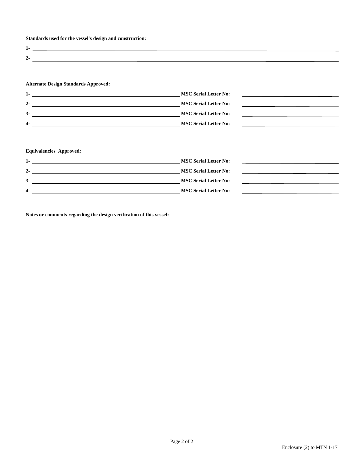**Standards used for the vessel's design and construction:**

| $\overline{\phantom{a}}$ |  |
|--------------------------|--|
|                          |  |

## **Alternate Design Standards Approved:**

| $1 -$          | <b>MSC Serial Letter No:</b> |
|----------------|------------------------------|
| $2 -$          | <b>MSC Serial Letter No:</b> |
| $3-$           | <b>MSC Serial Letter No:</b> |
| $\overline{4}$ | <b>MSC Serial Letter No:</b> |

## **Equivalencies Approved:**

| $1 -$          | <b>MSC Serial Letter No:</b> |
|----------------|------------------------------|
| $2 -$          | <b>MSC Serial Letter No:</b> |
| $3-$           | <b>MSC Serial Letter No:</b> |
| $\overline{4}$ | <b>MSC Serial Letter No:</b> |

**Notes or comments regarding the design verification of this vessel:**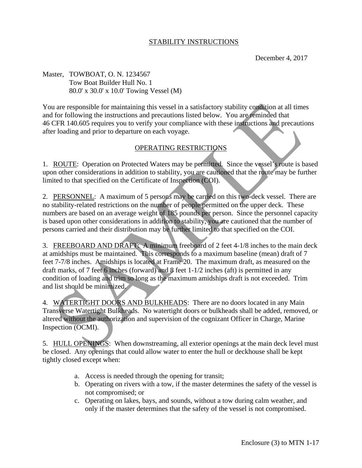### STABILITY INSTRUCTIONS

December 4, 2017

Master, TOWBOAT, O. N. 1234567 Tow Boat Builder Hull No. 1 80.0' x 30.0' x 10.0' Towing Vessel (M)

You are responsible for maintaining this vessel in a satisfactory stability condition at all times and for following the instructions and precautions listed below. You are reminded that 46 CFR 140.605 requires you to verify your compliance with these instructions and precautions after loading and prior to departure on each voyage.

### OPERATING RESTRICTIONS

1. ROUTE: Operation on Protected Waters may be permitted. Since the vessel's route is based upon other considerations in addition to stability, you are cautioned that the route may be further limited to that specified on the Certificate of Inspection (COI).

2. PERSONNEL: A maximum of 5 persons may be carried on this two-deck vessel. There are no stability-related restrictions on the number of people permitted on the upper deck. These numbers are based on an average weight of 185 pounds per person. Since the personnel capacity is based upon other considerations in addition to stability, you are cautioned that the number of persons carried and their distribution may be further limited to that specified on the COI.

3. FREEBOARD AND DRAFT: A minimum freeboard of 2 feet 4-1/8 inches to the main deck at amidships must be maintained. This corresponds to a maximum baseline (mean) draft of 7 feet 7-7/8 inches. Amidships is located at Frame 20. The maximum draft, as measured on the draft marks, of 7 feet 6 inches (forward) and 8 feet 1-1/2 inches (aft) is permitted in any condition of loading and trim so long as the maximum amidships draft is not exceeded. Trim and list should be minimized.

4. WATERTIGHT DOORS AND BULKHEADS: There are no doors located in any Main Transverse Watertight Bulkheads. No watertight doors or bulkheads shall be added, removed, or altered without the authorization and supervision of the cognizant Officer in Charge, Marine Inspection (OCMI).

5. HULL OPENINGS: When downstreaming, all exterior openings at the main deck level must be closed. Any openings that could allow water to enter the hull or deckhouse shall be kept tightly closed except when:

- a. Access is needed through the opening for transit;
- b. Operating on rivers with a tow, if the master determines the safety of the vessel is not compromised; or
- c. Operating on lakes, bays, and sounds, without a tow during calm weather, and only if the master determines that the safety of the vessel is not compromised.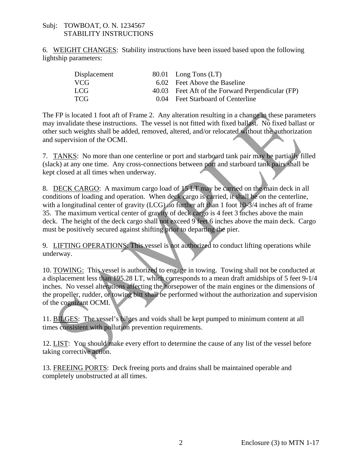### Subj: TOWBOAT, O. N. 1234567 STABILITY INSTRUCTIONS

6. WEIGHT CHANGES: Stability instructions have been issued based upon the following lightship parameters:

| Displacement | 80.01 Long Tons $(LT)$                           |
|--------------|--------------------------------------------------|
| VCG.         | 6.02 Feet Above the Baseline                     |
| LCG.         | 40.03 Feet Aft of the Forward Perpendicular (FP) |
| <b>TCG</b>   | 0.04 Feet Starboard of Centerline                |

The FP is located 1 foot aft of Frame 2. Any alteration resulting in a change in these parameters may invalidate these instructions. The vessel is not fitted with fixed ballast. No fixed ballast or other such weights shall be added, removed, altered, and/or relocated without the authorization and supervision of the OCMI.

7. TANKS: No more than one centerline or port and starboard tank pair may be partially filled (slack) at any one time. Any cross-connections between port and starboard tank pairs shall be kept closed at all times when underway.

8. DECK CARGO: A maximum cargo load of 15 LT may be carried on the main deck in all conditions of loading and operation. When deck cargo is carried, it shall be on the centerline, with a longitudinal center of gravity (LCG) no further aft than 1 foot 10-3/4 inches aft of frame 35. The maximum vertical center of gravity of deck cargo is 4 feet 3 inches above the main deck. The height of the deck cargo shall not exceed 9 feet 6 inches above the main deck. Cargo must be positively secured against shifting prior to departing the pier.

9. LIFTING OPERATIONS: This vessel is not authorized to conduct lifting operations while underway.

10. TOWING: This vessel is authorized to engage in towing. Towing shall not be conducted at a displacement less than 195.28 LT, which corresponds to a mean draft amidships of 5 feet 9-1/4 inches. No vessel alterations affecting the horsepower of the main engines or the dimensions of the propeller, rudder, or towing bitt shall be performed without the authorization and supervision of the cognizant OCMI.

11. BILGES: The vessel's bilges and voids shall be kept pumped to minimum content at all times consistent with pollution prevention requirements.

12. LIST: You should make every effort to determine the cause of any list of the vessel before taking corrective action.

13. FREEING PORTS: Deck freeing ports and drains shall be maintained operable and completely unobstructed at all times.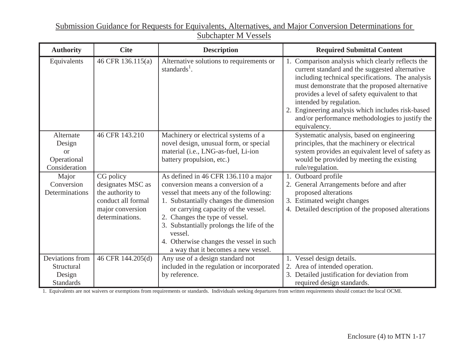### Submission Guidance for Requests for Equivalents, Alternatives, and Major Conversion Determinations for Subchapter M Vessels

| <b>Authority</b>    | <b>Cite</b><br><b>Description</b>      |                                                                                | <b>Required Submittal Content</b>                                                                                                                                                                                                                                                                                                                                                                          |  |  |
|---------------------|----------------------------------------|--------------------------------------------------------------------------------|------------------------------------------------------------------------------------------------------------------------------------------------------------------------------------------------------------------------------------------------------------------------------------------------------------------------------------------------------------------------------------------------------------|--|--|
| Equivalents         | 46 CFR 136.115(a)                      | Alternative solutions to requirements or<br>standards <sup>1</sup> .           | Comparison analysis which clearly reflects the<br>current standard and the suggested alternative<br>including technical specifications. The analysis<br>must demonstrate that the proposed alternative<br>provides a level of safety equivalent to that<br>intended by regulation.<br>2. Engineering analysis which includes risk-based<br>and/or performance methodologies to justify the<br>equivalency. |  |  |
| Alternate<br>Design | 46 CFR 143.210                         | Machinery or electrical systems of a<br>novel design, unusual form, or special | Systematic analysis, based on engineering<br>principles, that the machinery or electrical                                                                                                                                                                                                                                                                                                                  |  |  |
| or                  |                                        | material (i.e., LNG-as-fuel, Li-ion                                            | system provides an equivalent level of safety as                                                                                                                                                                                                                                                                                                                                                           |  |  |
| Operational         |                                        | battery propulsion, etc.)                                                      | would be provided by meeting the existing                                                                                                                                                                                                                                                                                                                                                                  |  |  |
| Consideration       |                                        |                                                                                | rule/regulation.                                                                                                                                                                                                                                                                                                                                                                                           |  |  |
| Major               | CG policy                              | As defined in 46 CFR 136.110 a major                                           | Outboard profile                                                                                                                                                                                                                                                                                                                                                                                           |  |  |
| Conversion          | designates MSC as                      | conversion means a conversion of a                                             | 2. General Arrangements before and after                                                                                                                                                                                                                                                                                                                                                                   |  |  |
| Determinations      | the authority to<br>conduct all formal | vessel that meets any of the following:                                        | proposed alterations                                                                                                                                                                                                                                                                                                                                                                                       |  |  |
|                     | major conversion                       | 1. Substantially changes the dimension<br>or carrying capacity of the vessel.  | 3. Estimated weight changes<br>4. Detailed description of the proposed alterations                                                                                                                                                                                                                                                                                                                         |  |  |
|                     | determinations.                        | 2. Changes the type of vessel.                                                 |                                                                                                                                                                                                                                                                                                                                                                                                            |  |  |
|                     |                                        | 3. Substantially prolongs the life of the                                      |                                                                                                                                                                                                                                                                                                                                                                                                            |  |  |
|                     |                                        | vessel.                                                                        |                                                                                                                                                                                                                                                                                                                                                                                                            |  |  |
|                     |                                        | 4. Otherwise changes the vessel in such                                        |                                                                                                                                                                                                                                                                                                                                                                                                            |  |  |
|                     |                                        | a way that it becomes a new vessel.                                            |                                                                                                                                                                                                                                                                                                                                                                                                            |  |  |
| Deviations from     | 46 CFR 144.205(d)                      | Any use of a design standard not                                               | 1. Vessel design details.                                                                                                                                                                                                                                                                                                                                                                                  |  |  |
| Structural          |                                        | included in the regulation or incorporated                                     | 2. Area of intended operation.                                                                                                                                                                                                                                                                                                                                                                             |  |  |
| Design              |                                        | by reference.                                                                  | 3. Detailed justification for deviation from                                                                                                                                                                                                                                                                                                                                                               |  |  |
| <b>Standards</b>    |                                        |                                                                                | required design standards.                                                                                                                                                                                                                                                                                                                                                                                 |  |  |

1. Equivalents are not waivers or exemptions from requirements or standards. Individuals seeking departures from written requirements should contact the local OCMI.